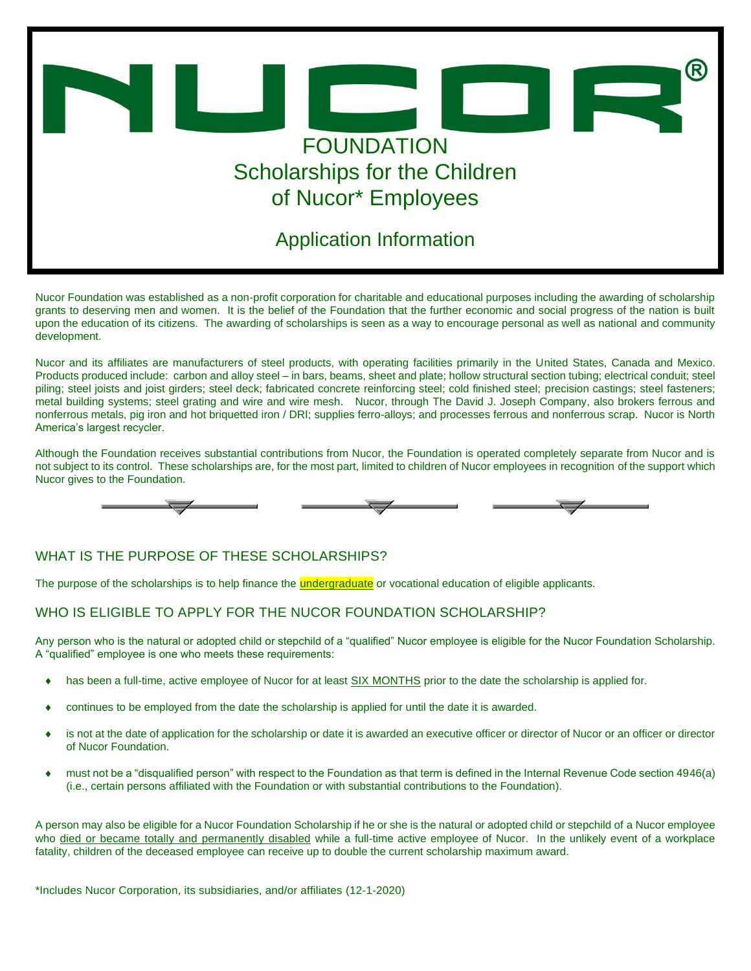

Nucor Foundation was established as a non-profit corporation for charitable and educational purposes including the awarding of scholarship grants to deserving men and women. It is the belief of the Foundation that the further economic and social progress of the nation is built upon the education of its citizens. The awarding of scholarships is seen as a way to encourage personal as well as national and community development.

Nucor and its affiliates are manufacturers of steel products, with operating facilities primarily in the United States, Canada and Mexico. Products produced include: carbon and alloy steel – in bars, beams, sheet and plate; hollow structural section tubing; electrical conduit; steel piling; steel joists and joist girders; steel deck; fabricated concrete reinforcing steel; cold finished steel; precision castings; steel fasteners; metal building systems; steel grating and wire and wire mesh. Nucor, through The David J. Joseph Company, also brokers ferrous and nonferrous metals, pig iron and hot briquetted iron / DRI; supplies ferro-alloys; and processes ferrous and nonferrous scrap. Nucor is North America's largest recycler.

Although the Foundation receives substantial contributions from Nucor, the Foundation is operated completely separate from Nucor and is not subject to its control. These scholarships are, for the most part, limited to children of Nucor employees in recognition of the support which Nucor gives to the Foundation.



# *WHAT IS THE PURPOSE OF THESE SCHOLARSHIPS?*

The purpose of the scholarships is to help finance the *undergraduate* or vocational education of eligible applicants.

# *WHO IS ELIGIBLE TO APPLY FOR THE NUCOR FOUNDATION SCHOLARSHIP?*

Any person who is the natural or adopted child or stepchild of a "qualified" Nucor employee is eligible for the Nucor Foundation Scholarship. A "qualified" employee is one who meets these requirements:

- has been a full-time, active employee of Nucor for at least *SIX MONTHS* prior to the date the scholarship is applied for.
- continues to be employed from the date the scholarship is applied for until the date it is awarded.
- is not at the date of application for the scholarship or date it is awarded an executive officer or director of Nucor or an officer or director of Nucor Foundation.
- must not be a "disqualified person" with respect to the Foundation as that term is defined in the Internal Revenue Code section 4946(a) (i.e., certain persons affiliated with the Foundation or with substantial contributions to the Foundation).

A person may also be eligible for a Nucor Foundation Scholarship if he or she is the natural or adopted child or stepchild of a Nucor employee who *died or became totally and permanently disabled* while a full-time active employee of Nucor. In the unlikely event of a workplace fatality, children of the deceased employee can receive up to double the current scholarship maximum award.

*\*Includes Nucor Corporation, its subsidiaries, and/or affiliates (12-1-2020)*